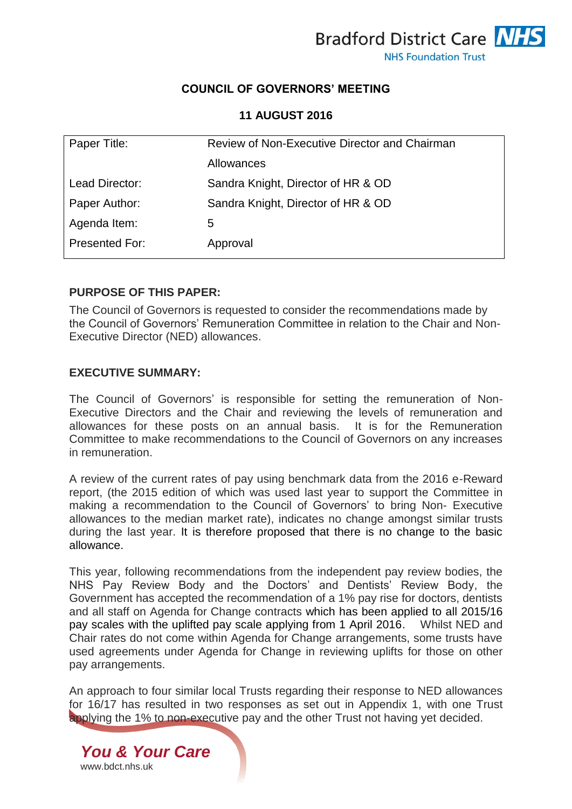

### **COUNCIL OF GOVERNORS' MEETING**

**11 AUGUST 2016**

| Paper Title:   | Review of Non-Executive Director and Chairman |
|----------------|-----------------------------------------------|
|                | Allowances                                    |
| Lead Director: | Sandra Knight, Director of HR & OD            |
| Paper Author:  | Sandra Knight, Director of HR & OD            |
| Agenda Item:   | 5                                             |
| Presented For: | Approval                                      |

#### **PURPOSE OF THIS PAPER:**

The Council of Governors is requested to consider the recommendations made by the Council of Governors' Remuneration Committee in relation to the Chair and Non-Executive Director (NED) allowances.

#### **EXECUTIVE SUMMARY:**

The Council of Governors' is responsible for setting the remuneration of Non-Executive Directors and the Chair and reviewing the levels of remuneration and allowances for these posts on an annual basis. It is for the Remuneration Committee to make recommendations to the Council of Governors on any increases in remuneration.

A review of the current rates of pay using benchmark data from the 2016 e-Reward report, (the 2015 edition of which was used last year to support the Committee in making a recommendation to the Council of Governors' to bring Non- Executive allowances to the median market rate), indicates no change amongst similar trusts during the last year. It is therefore proposed that there is no change to the basic allowance.

This year, following recommendations from the independent pay review bodies, the NHS Pay Review Body and the Doctors' and Dentists' Review Body, the Government has accepted the recommendation of a 1% pay rise for doctors, dentists and all staff on Agenda for Change contracts which has been applied to all 2015/16 pay scales with the uplifted pay scale applying from 1 April 2016. Whilst NED and Chair rates do not come within Agenda for Change arrangements, some trusts have used agreements under Agenda for Change in reviewing uplifts for those on other pay arrangements.

An approach to four similar local Trusts regarding their response to NED allowances for 16/17 has resulted in two responses as set out in Appendix 1, with one Trust applying the 1% to non-executive pay and the other Trust not having yet decided.

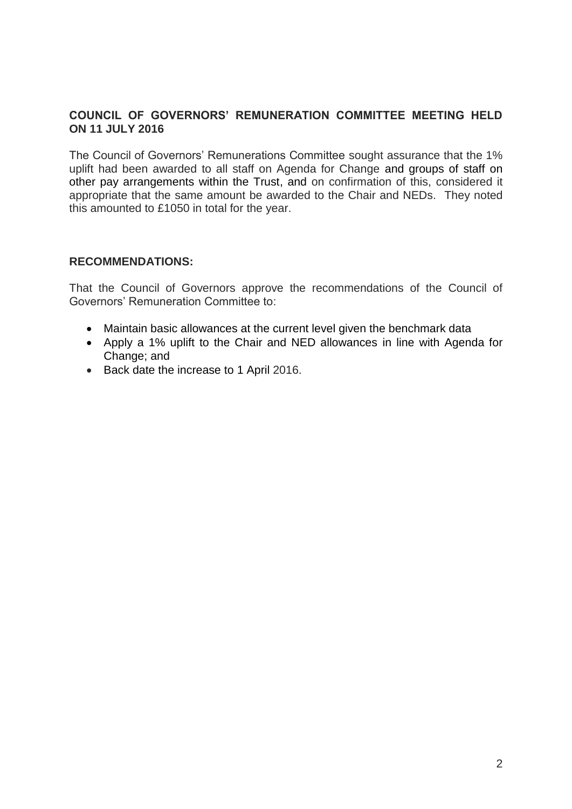## **COUNCIL OF GOVERNORS' REMUNERATION COMMITTEE MEETING HELD ON 11 JULY 2016**

The Council of Governors' Remunerations Committee sought assurance that the 1% uplift had been awarded to all staff on Agenda for Change and groups of staff on other pay arrangements within the Trust, and on confirmation of this, considered it appropriate that the same amount be awarded to the Chair and NEDs. They noted this amounted to £1050 in total for the year.

## **RECOMMENDATIONS:**

That the Council of Governors approve the recommendations of the Council of Governors' Remuneration Committee to:

- Maintain basic allowances at the current level given the benchmark data
- Apply a 1% uplift to the Chair and NED allowances in line with Agenda for Change; and
- Back date the increase to 1 April 2016.